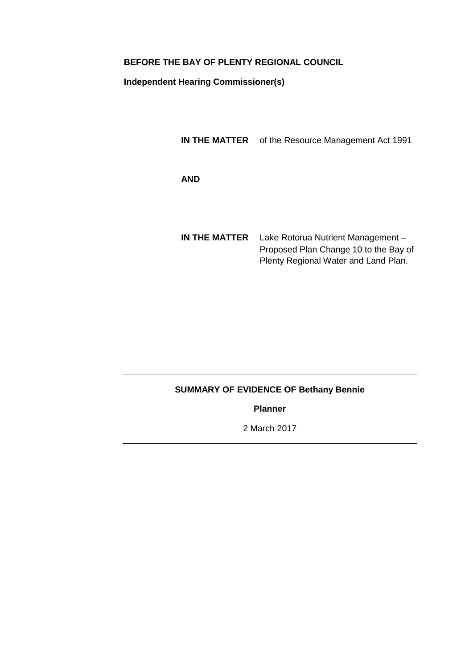## **BEFORE THE BAY OF PLENTY REGIONAL COUNCIL**

**Independent Hearing Commissioner(s)**

**IN THE MATTER** of the Resource Management Act 1991

**AND**

**IN THE MATTER** Lake Rotorua Nutrient Management – Proposed Plan Change 10 to the Bay of Plenty Regional Water and Land Plan.

# **SUMMARY OF EVIDENCE OF Bethany Bennie**

**Planner**

2 March 2017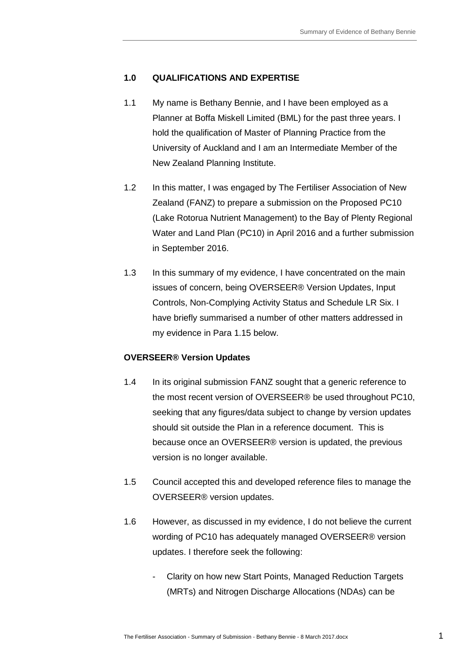## **1.0 QUALIFICATIONS AND EXPERTISE**

- 1.1 My name is Bethany Bennie, and I have been employed as a Planner at Boffa Miskell Limited (BML) for the past three years. I hold the qualification of Master of Planning Practice from the University of Auckland and I am an Intermediate Member of the New Zealand Planning Institute.
- 1.2 In this matter, I was engaged by The Fertiliser Association of New Zealand (FANZ) to prepare a submission on the Proposed PC10 (Lake Rotorua Nutrient Management) to the Bay of Plenty Regional Water and Land Plan (PC10) in April 2016 and a further submission in September 2016.
- 1.3 In this summary of my evidence, I have concentrated on the main issues of concern, being OVERSEER® Version Updates, Input Controls, Non-Complying Activity Status and Schedule LR Six. I have briefly summarised a number of other matters addressed in my evidence in Para 1.15 below.

### **OVERSEER® Version Updates**

- 1.4 In its original submission FANZ sought that a generic reference to the most recent version of OVERSEER® be used throughout PC10, seeking that any figures/data subject to change by version updates should sit outside the Plan in a reference document. This is because once an OVERSEER® version is updated, the previous version is no longer available.
- 1.5 Council accepted this and developed reference files to manage the OVERSEER® version updates.
- 1.6 However, as discussed in my evidence, I do not believe the current wording of PC10 has adequately managed OVERSEER® version updates. I therefore seek the following:
	- Clarity on how new Start Points, Managed Reduction Targets (MRTs) and Nitrogen Discharge Allocations (NDAs) can be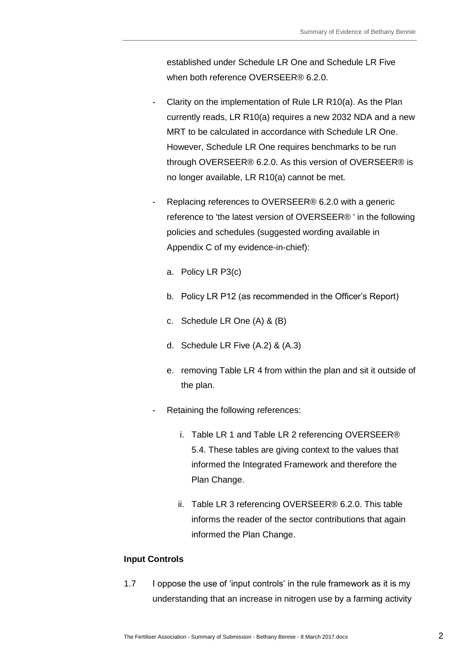established under Schedule LR One and Schedule LR Five when both reference OVERSEER® 6.2.0.

- Clarity on the implementation of Rule LR R10(a). As the Plan currently reads, LR R10(a) requires a new 2032 NDA and a new MRT to be calculated in accordance with Schedule LR One. However, Schedule LR One requires benchmarks to be run through OVERSEER® 6.2.0. As this version of OVERSEER® is no longer available, LR R10(a) cannot be met.
- Replacing references to OVERSEER® 6.2.0 with a generic reference to 'the latest version of OVERSEER® ' in the following policies and schedules (suggested wording available in Appendix C of my evidence-in-chief):
	- a. Policy LR P3(c)
	- b. Policy LR P12 (as recommended in the Officer's Report)
	- c. Schedule LR One (A) & (B)
	- d. Schedule LR Five (A.2) & (A.3)
	- e. removing Table LR 4 from within the plan and sit it outside of the plan.
- Retaining the following references:
	- i. Table LR 1 and Table LR 2 referencing OVERSEER® 5.4. These tables are giving context to the values that informed the Integrated Framework and therefore the Plan Change.
	- ii. Table LR 3 referencing OVERSEER® 6.2.0. This table informs the reader of the sector contributions that again informed the Plan Change.

#### **Input Controls**

1.7 I oppose the use of 'input controls' in the rule framework as it is my understanding that an increase in nitrogen use by a farming activity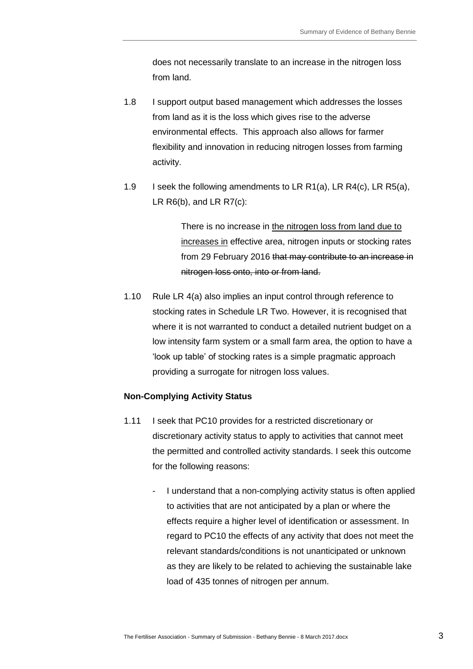does not necessarily translate to an increase in the nitrogen loss from land.

- 1.8 I support output based management which addresses the losses from land as it is the loss which gives rise to the adverse environmental effects. This approach also allows for farmer flexibility and innovation in reducing nitrogen losses from farming activity.
- 1.9 I seek the following amendments to LR R1(a), LR R4(c), LR R5(a), LR R6(b), and LR R7(c):

There is no increase in the nitrogen loss from land due to increases in effective area, nitrogen inputs or stocking rates from 29 February 2016 that may contribute to an increase in nitrogen loss onto, into or from land.

1.10 Rule LR 4(a) also implies an input control through reference to stocking rates in Schedule LR Two. However, it is recognised that where it is not warranted to conduct a detailed nutrient budget on a low intensity farm system or a small farm area, the option to have a 'look up table' of stocking rates is a simple pragmatic approach providing a surrogate for nitrogen loss values.

#### **Non-Complying Activity Status**

- 1.11 I seek that PC10 provides for a restricted discretionary or discretionary activity status to apply to activities that cannot meet the permitted and controlled activity standards. I seek this outcome for the following reasons:
	- I understand that a non-complying activity status is often applied to activities that are not anticipated by a plan or where the effects require a higher level of identification or assessment. In regard to PC10 the effects of any activity that does not meet the relevant standards/conditions is not unanticipated or unknown as they are likely to be related to achieving the sustainable lake load of 435 tonnes of nitrogen per annum.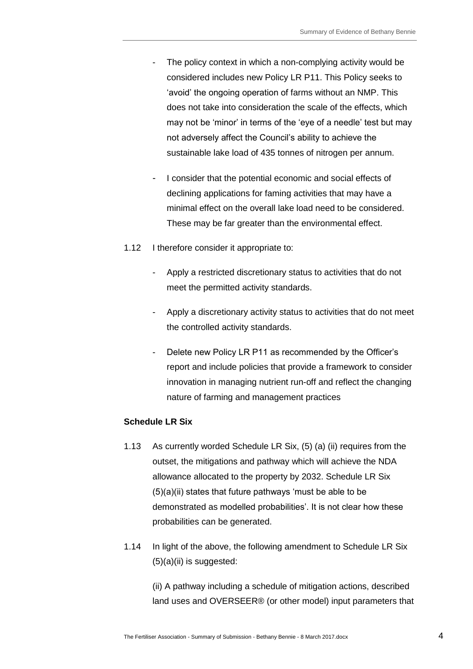- The policy context in which a non-complying activity would be considered includes new Policy LR P11. This Policy seeks to 'avoid' the ongoing operation of farms without an NMP. This does not take into consideration the scale of the effects, which may not be 'minor' in terms of the 'eye of a needle' test but may not adversely affect the Council's ability to achieve the sustainable lake load of 435 tonnes of nitrogen per annum.
- I consider that the potential economic and social effects of declining applications for faming activities that may have a minimal effect on the overall lake load need to be considered. These may be far greater than the environmental effect.
- 1.12 I therefore consider it appropriate to:
	- Apply a restricted discretionary status to activities that do not meet the permitted activity standards.
	- Apply a discretionary activity status to activities that do not meet the controlled activity standards.
	- Delete new Policy LR P11 as recommended by the Officer's report and include policies that provide a framework to consider innovation in managing nutrient run-off and reflect the changing nature of farming and management practices

#### **Schedule LR Six**

- 1.13 As currently worded Schedule LR Six, (5) (a) (ii) requires from the outset, the mitigations and pathway which will achieve the NDA allowance allocated to the property by 2032. Schedule LR Six (5)(a)(ii) states that future pathways 'must be able to be demonstrated as modelled probabilities'. It is not clear how these probabilities can be generated.
- 1.14 In light of the above, the following amendment to Schedule LR Six (5)(a)(ii) is suggested:

(ii) A pathway including a schedule of mitigation actions, described land uses and OVERSEER® (or other model) input parameters that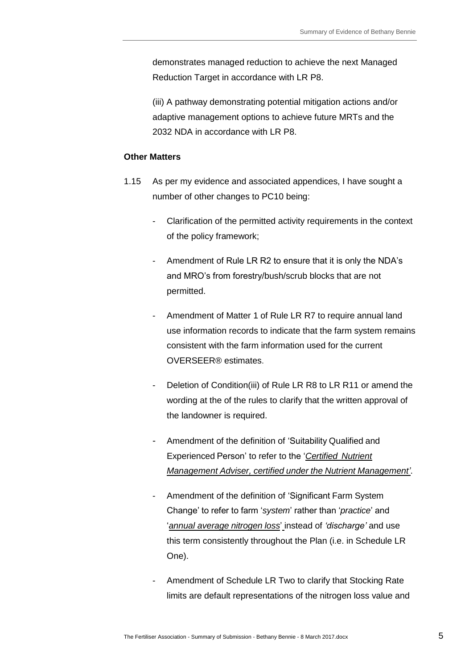demonstrates managed reduction to achieve the next Managed Reduction Target in accordance with LR P8.

(iii) A pathway demonstrating potential mitigation actions and/or adaptive management options to achieve future MRTs and the 2032 NDA in accordance with LR P8.

#### **Other Matters**

- 1.15 As per my evidence and associated appendices, I have sought a number of other changes to PC10 being:
	- Clarification of the permitted activity requirements in the context of the policy framework;
	- Amendment of Rule LR R2 to ensure that it is only the NDA's and MRO's from forestry/bush/scrub blocks that are not permitted.
	- Amendment of Matter 1 of Rule LR R7 to require annual land use information records to indicate that the farm system remains consistent with the farm information used for the current OVERSEER® estimates.
	- Deletion of Condition(iii) of Rule LR R8 to LR R11 or amend the wording at the of the rules to clarify that the written approval of the landowner is required.
	- Amendment of the definition of 'Suitability Qualified and Experienced Person' to refer to the '*Certified Nutrient Management Adviser, certified under the Nutrient Management'*.
	- Amendment of the definition of 'Significant Farm System Change' to refer to farm '*system*' rather than '*practice*' and '*annual average nitrogen loss*' instead of *'discharge'* and use this term consistently throughout the Plan (i.e. in Schedule LR One).
	- Amendment of Schedule LR Two to clarify that Stocking Rate limits are default representations of the nitrogen loss value and